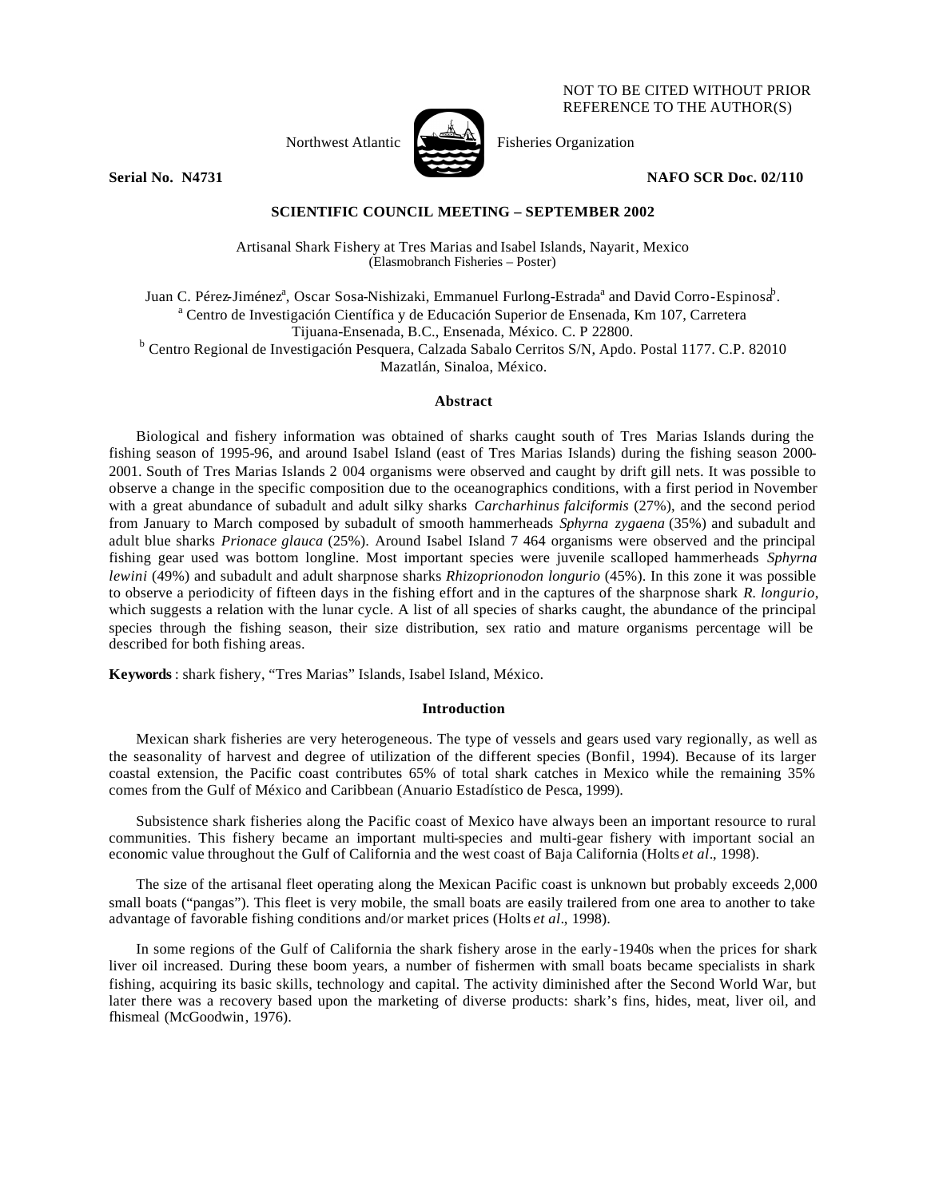## NOT TO BE CITED WITHOUT PRIOR REFERENCE TO THE AUTHOR(S)



Northwest Atlantic Fisheries Organization

**Serial No. N4731** NAFO SCR Doc. 02/110

# **SCIENTIFIC COUNCIL MEETING – SEPTEMBER 2002**

Artisanal Shark Fishery at Tres Marias and Isabel Islands, Nayarit, Mexico (Elasmobranch Fisheries – Poster)

Juan C. Pérez-Jiménez<sup>a</sup>, Oscar Sosa-Nishizaki, Emmanuel Furlong-Estrada<sup>a</sup> and David Corro-Espinosa<sup>b</sup>. <sup>a</sup> Centro de Investigación Científica y de Educación Superior de Ensenada, Km 107, Carretera Tijuana-Ensenada, B.C., Ensenada, México. C. P 22800. <sup>b</sup> Centro Regional de Investigación Pesquera, Calzada Sabalo Cerritos S/N, Apdo. Postal 1177. C.P. 82010 Mazatlán, Sinaloa, México.

### **Abstract**

Biological and fishery information was obtained of sharks caught south of Tres Marias Islands during the fishing season of 1995-96, and around Isabel Island (east of Tres Marias Islands) during the fishing season 2000- 2001. South of Tres Marias Islands 2 004 organisms were observed and caught by drift gill nets. It was possible to observe a change in the specific composition due to the oceanographics conditions, with a first period in November with a great abundance of subadult and adult silky sharks *Carcharhinus falciformis* (27%), and the second period from January to March composed by subadult of smooth hammerheads *Sphyrna zygaena* (35%) and subadult and adult blue sharks *Prionace glauca* (25%). Around Isabel Island 7 464 organisms were observed and the principal fishing gear used was bottom longline. Most important species were juvenile scalloped hammerheads *Sphyrna lewini* (49%) and subadult and adult sharpnose sharks *Rhizoprionodon longurio* (45%). In this zone it was possible to observe a periodicity of fifteen days in the fishing effort and in the captures of the sharpnose shark *R. longurio*, which suggests a relation with the lunar cycle. A list of all species of sharks caught, the abundance of the principal species through the fishing season, their size distribution, sex ratio and mature organisms percentage will be described for both fishing areas.

**Keywords** : shark fishery, "Tres Marias" Islands, Isabel Island, México.

# **Introduction**

Mexican shark fisheries are very heterogeneous. The type of vessels and gears used vary regionally, as well as the seasonality of harvest and degree of utilization of the different species (Bonfil, 1994). Because of its larger coastal extension, the Pacific coast contributes 65% of total shark catches in Mexico while the remaining 35% comes from the Gulf of México and Caribbean (Anuario Estadístico de Pesca, 1999).

Subsistence shark fisheries along the Pacific coast of Mexico have always been an important resource to rural communities. This fishery became an important multi-species and multi-gear fishery with important social an economic value throughout the Gulf of California and the west coast of Baja California (Holts *et al*., 1998).

The size of the artisanal fleet operating along the Mexican Pacific coast is unknown but probably exceeds 2,000 small boats ("pangas"). This fleet is very mobile, the small boats are easily trailered from one area to another to take advantage of favorable fishing conditions and/or market prices (Holts *et al*., 1998).

In some regions of the Gulf of California the shark fishery arose in the early-1940s when the prices for shark liver oil increased. During these boom years, a number of fishermen with small boats became specialists in shark fishing, acquiring its basic skills, technology and capital. The activity diminished after the Second World War, but later there was a recovery based upon the marketing of diverse products: shark's fins, hides, meat, liver oil, and fhismeal (McGoodwin, 1976).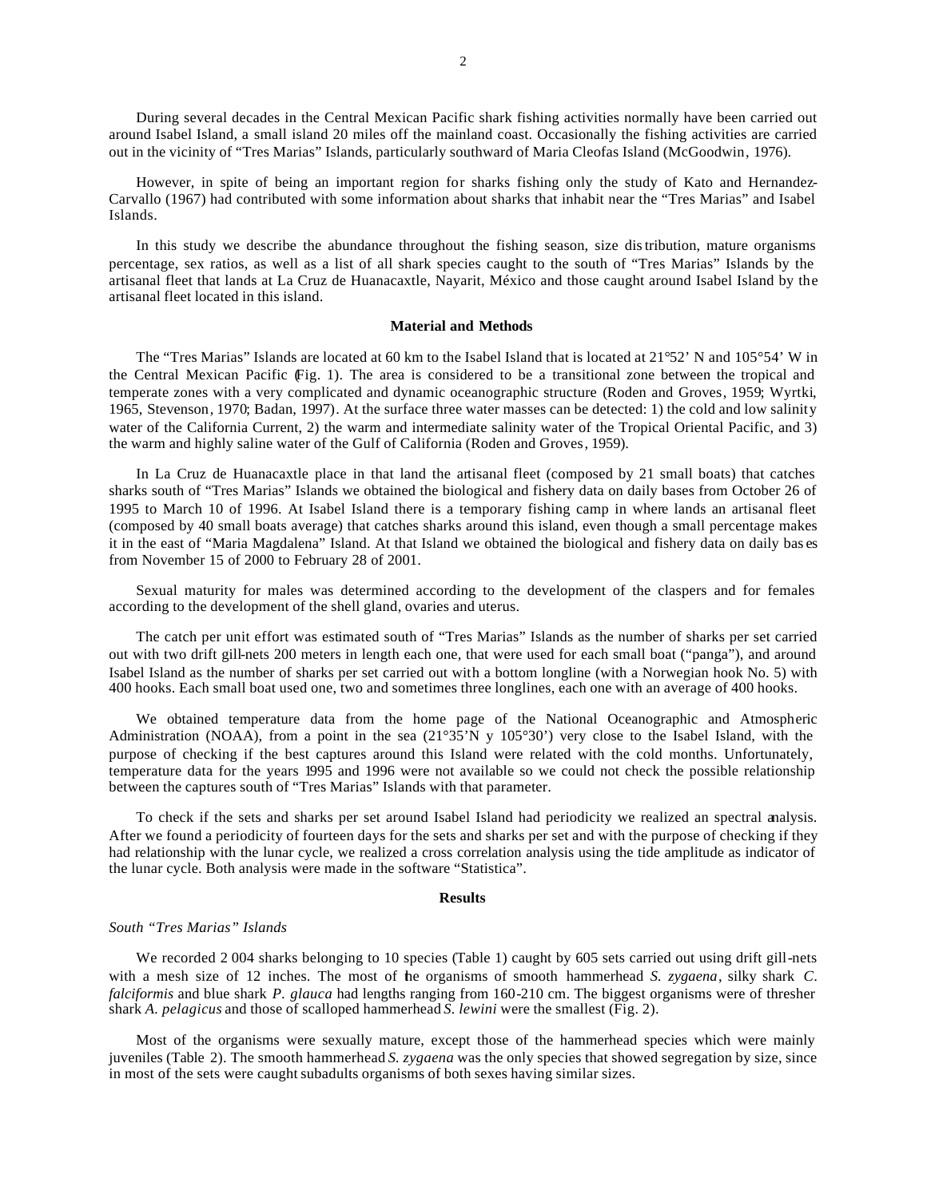During several decades in the Central Mexican Pacific shark fishing activities normally have been carried out around Isabel Island, a small island 20 miles off the mainland coast. Occasionally the fishing activities are carried out in the vicinity of "Tres Marias" Islands, particularly southward of Maria Cleofas Island (McGoodwin, 1976).

However, in spite of being an important region for sharks fishing only the study of Kato and Hernandez-Carvallo (1967) had contributed with some information about sharks that inhabit near the "Tres Marias" and Isabel Islands.

In this study we describe the abundance throughout the fishing season, size distribution, mature organisms percentage, sex ratios, as well as a list of all shark species caught to the south of "Tres Marias" Islands by the artisanal fleet that lands at La Cruz de Huanacaxtle, Nayarit, México and those caught around Isabel Island by the artisanal fleet located in this island.

### **Material and Methods**

The "Tres Marias" Islands are located at 60 km to the Isabel Island that is located at 21°52' N and 105°54' W in the Central Mexican Pacific (Fig. 1). The area is considered to be a transitional zone between the tropical and temperate zones with a very complicated and dynamic oceanographic structure (Roden and Groves, 1959; Wyrtki, 1965, Stevenson, 1970; Badan, 1997). At the surface three water masses can be detected: 1) the cold and low salinity water of the California Current, 2) the warm and intermediate salinity water of the Tropical Oriental Pacific, and 3) the warm and highly saline water of the Gulf of California (Roden and Groves, 1959).

In La Cruz de Huanacaxtle place in that land the artisanal fleet (composed by 21 small boats) that catches sharks south of "Tres Marias" Islands we obtained the biological and fishery data on daily bases from October 26 of 1995 to March 10 of 1996. At Isabel Island there is a temporary fishing camp in where lands an artisanal fleet (composed by 40 small boats average) that catches sharks around this island, even though a small percentage makes it in the east of "Maria Magdalena" Island. At that Island we obtained the biological and fishery data on daily bas es from November 15 of 2000 to February 28 of 2001.

Sexual maturity for males was determined according to the development of the claspers and for females according to the development of the shell gland, ovaries and uterus.

The catch per unit effort was estimated south of "Tres Marias" Islands as the number of sharks per set carried out with two drift gill-nets 200 meters in length each one, that were used for each small boat ("panga"), and around Isabel Island as the number of sharks per set carried out with a bottom longline (with a Norwegian hook No. 5) with 400 hooks. Each small boat used one, two and sometimes three longlines, each one with an average of 400 hooks.

We obtained temperature data from the home page of the National Oceanographic and Atmospheric Administration (NOAA), from a point in the sea (21°35'N y 105°30') very close to the Isabel Island, with the purpose of checking if the best captures around this Island were related with the cold months. Unfortunately, temperature data for the years 1995 and 1996 were not available so we could not check the possible relationship between the captures south of "Tres Marias" Islands with that parameter.

To check if the sets and sharks per set around Isabel Island had periodicity we realized an spectral analysis. After we found a periodicity of fourteen days for the sets and sharks per set and with the purpose of checking if they had relationship with the lunar cycle, we realized a cross correlation analysis using the tide amplitude as indicator of the lunar cycle. Both analysis were made in the software "Statistica".

### **Results**

## *South "Tres Marias" Islands*

We recorded 2004 sharks belonging to 10 species (Table 1) caught by 605 sets carried out using drift gill-nets with a mesh size of 12 inches. The most of the organisms of smooth hammerhead *S. zygaena*, silky shark *C*. *falciformis* and blue shark *P. glauca* had lengths ranging from 160-210 cm. The biggest organisms were of thresher shark *A. pelagicus* and those of scalloped hammerhead *S. lewini* were the smallest (Fig. 2).

Most of the organisms were sexually mature, except those of the hammerhead species which were mainly juveniles (Table 2). The smooth hammerhead *S. zygaena* was the only species that showed segregation by size, since in most of the sets were caught subadults organisms of both sexes having similar sizes.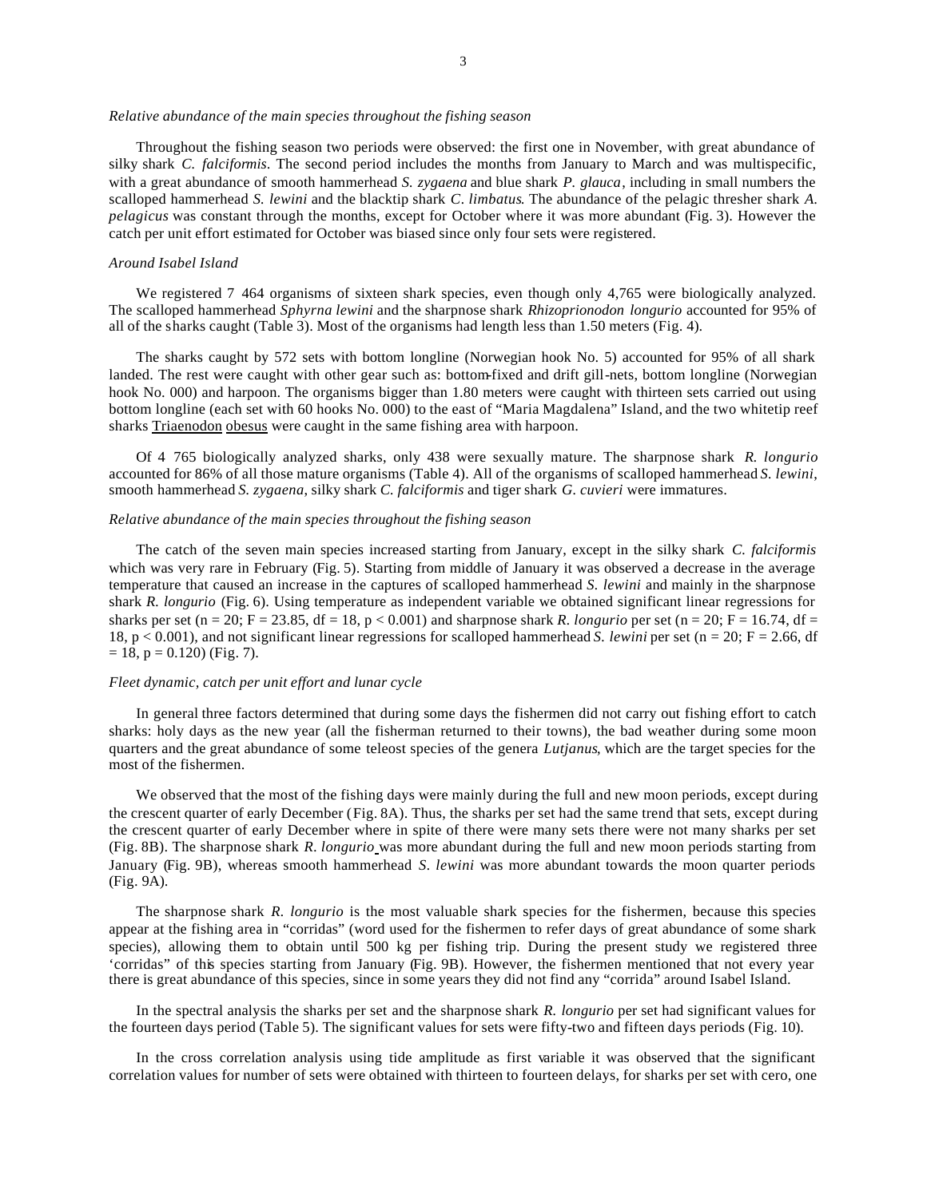### *Relative abundance of the main species throughout the fishing season*

Throughout the fishing season two periods were observed: the first one in November, with great abundance of silky shark *C. falciformis*. The second period includes the months from January to March and was multispecific, with a great abundance of smooth hammerhead *S. zygaena* and blue shark *P. glauca*, including in small numbers the scalloped hammerhead *S. lewini* and the blacktip shark *C. limbatus*. The abundance of the pelagic thresher shark *A*. *pelagicus* was constant through the months, except for October where it was more abundant (Fig. 3). However the catch per unit effort estimated for October was biased since only four sets were registered.

#### *Around Isabel Island*

We registered 7 464 organisms of sixteen shark species, even though only 4,765 were biologically analyzed. The scalloped hammerhead *Sphyrna lewini* and the sharpnose shark *Rhizoprionodon longurio* accounted for 95% of all of the sharks caught (Table 3). Most of the organisms had length less than 1.50 meters (Fig. 4).

The sharks caught by 572 sets with bottom longline (Norwegian hook No. 5) accounted for 95% of all shark landed. The rest were caught with other gear such as: bottom-fixed and drift gill-nets, bottom longline (Norwegian hook No. 000) and harpoon. The organisms bigger than 1.80 meters were caught with thirteen sets carried out using bottom longline (each set with 60 hooks No. 000) to the east of "Maria Magdalena" Island, and the two whitetip reef sharks Triaenodon obesus were caught in the same fishing area with harpoon.

Of 4 765 biologically analyzed sharks, only 438 were sexually mature. The sharpnose shark *R. longurio* accounted for 86% of all those mature organisms (Table 4). All of the organisms of scalloped hammerhead *S. lewini*, smooth hammerhead *S. zygaena*, silky shark *C. falciformis* and tiger shark *G. cuvieri* were immatures.

### *Relative abundance of the main species throughout the fishing season*

The catch of the seven main species increased starting from January, except in the silky shark *C. falciformis* which was very rare in February (Fig. 5). Starting from middle of January it was observed a decrease in the average temperature that caused an increase in the captures of scalloped hammerhead *S. lewini* and mainly in the sharpnose shark *R. longurio* (Fig. 6). Using temperature as independent variable we obtained significant linear regressions for sharks per set (n = 20; F = 23.85, df = 18, p < 0.001) and sharpnose shark *R*. *longurio* per set (n = 20; F = 16.74, df = 18, p < 0.001), and not significant linear regressions for scalloped hammerhead *S. lewini* per set (n = 20; F = 2.66, df  $= 18$ ,  $p = 0.120$ ) (Fig. 7).

## *Fleet dynamic, catch per unit effort and lunar cycle*

In general three factors determined that during some days the fishermen did not carry out fishing effort to catch sharks: holy days as the new year (all the fisherman returned to their towns), the bad weather during some moon quarters and the great abundance of some teleost species of the genera *Lutjanus*, which are the target species for the most of the fishermen.

We observed that the most of the fishing days were mainly during the full and new moon periods, except during the crescent quarter of early December (Fig. 8A). Thus, the sharks per set had the same trend that sets, except during the crescent quarter of early December where in spite of there were many sets there were not many sharks per set (Fig. 8B). The sharpnose shark *R*. *longurio* was more abundant during the full and new moon periods starting from January (Fig. 9B), whereas smooth hammerhead *S. lewini* was more abundant towards the moon quarter periods (Fig. 9A).

The sharpnose shark *R. longurio* is the most valuable shark species for the fishermen, because this species appear at the fishing area in "corridas" (word used for the fishermen to refer days of great abundance of some shark species), allowing them to obtain until 500 kg per fishing trip. During the present study we registered three 'corridas" of this species starting from January (Fig. 9B). However, the fishermen mentioned that not every year there is great abundance of this species, since in some years they did not find any "corrida" around Isabel Island.

In the spectral analysis the sharks per set and the sharpnose shark *R. longurio* per set had significant values for the fourteen days period (Table 5). The significant values for sets were fifty-two and fifteen days periods (Fig. 10).

In the cross correlation analysis using tide amplitude as first variable it was observed that the significant correlation values for number of sets were obtained with thirteen to fourteen delays, for sharks per set with cero, one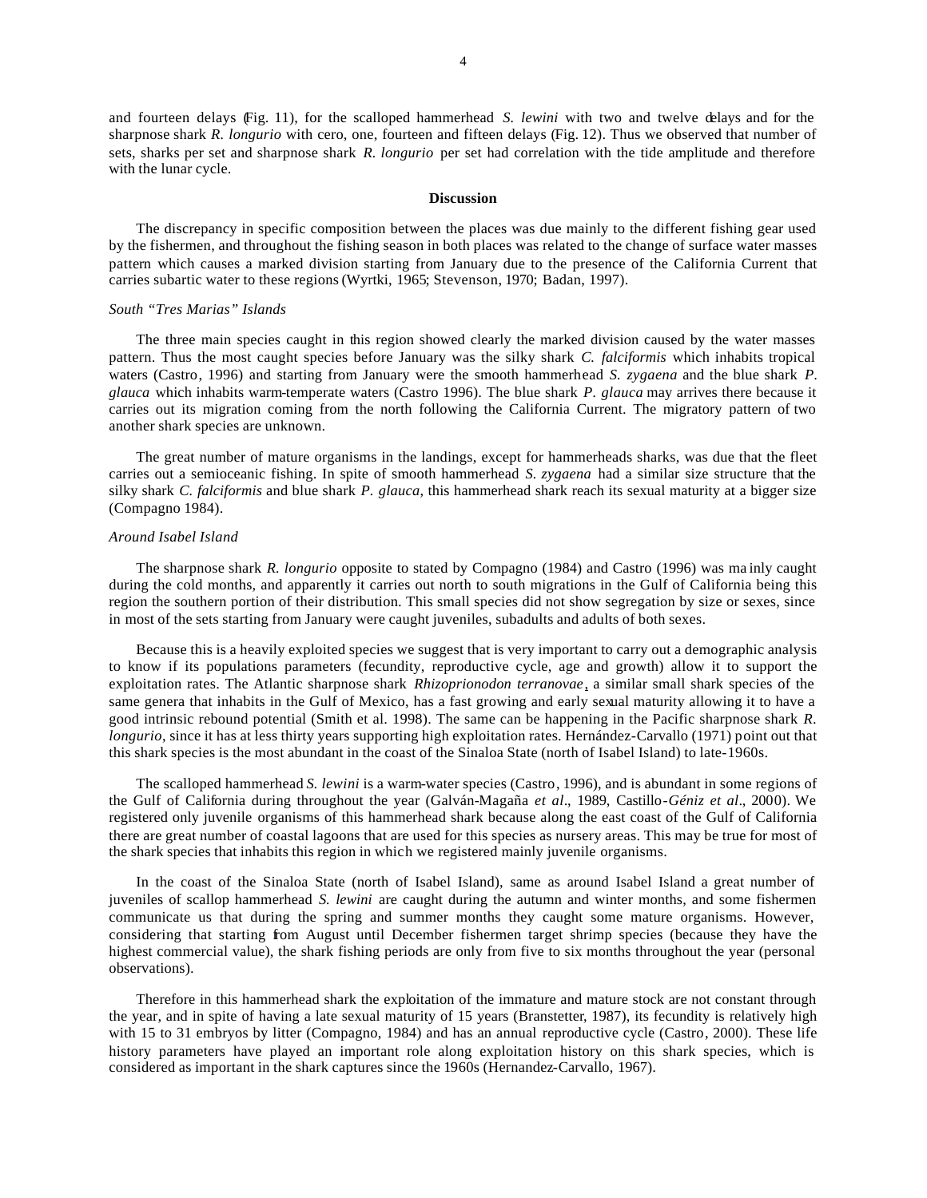and fourteen delays (Fig. 11), for the scalloped hammerhead *S. lewini* with two and twelve delays and for the sharpnose shark *R. longurio* with cero, one, fourteen and fifteen delays (Fig. 12). Thus we observed that number of sets, sharks per set and sharpnose shark *R. longurio* per set had correlation with the tide amplitude and therefore with the lunar cycle.

## **Discussion**

The discrepancy in specific composition between the places was due mainly to the different fishing gear used by the fishermen, and throughout the fishing season in both places was related to the change of surface water masses pattern which causes a marked division starting from January due to the presence of the California Current that carries subartic water to these regions (Wyrtki, 1965; Stevenson, 1970; Badan, 1997).

# *South "Tres Marias" Islands*

The three main species caught in this region showed clearly the marked division caused by the water masses pattern. Thus the most caught species before January was the silky shark *C. falciformis* which inhabits tropical waters (Castro, 1996) and starting from January were the smooth hammerhead *S. zygaena* and the blue shark *P*. *glauca* which inhabits warm-temperate waters (Castro 1996). The blue shark *P. glauca* may arrives there because it carries out its migration coming from the north following the California Current. The migratory pattern of two another shark species are unknown.

The great number of mature organisms in the landings, except for hammerheads sharks, was due that the fleet carries out a semioceanic fishing. In spite of smooth hammerhead *S. zygaena* had a similar size structure that the silky shark *C. falciformis* and blue shark *P. glauca*, this hammerhead shark reach its sexual maturity at a bigger size (Compagno 1984).

### *Around Isabel Island*

The sharpnose shark *R. longurio* opposite to stated by Compagno (1984) and Castro (1996) was ma inly caught during the cold months, and apparently it carries out north to south migrations in the Gulf of California being this region the southern portion of their distribution. This small species did not show segregation by size or sexes, since in most of the sets starting from January were caught juveniles, subadults and adults of both sexes.

Because this is a heavily exploited species we suggest that is very important to carry out a demographic analysis to know if its populations parameters (fecundity, reproductive cycle, age and growth) allow it to support the exploitation rates. The Atlantic sharpnose shark *Rhizoprionodon terranovae*, a similar small shark species of the same genera that inhabits in the Gulf of Mexico, has a fast growing and early sexual maturity allowing it to have a good intrinsic rebound potential (Smith et al. 1998). The same can be happening in the Pacific sharpnose shark *R*. *longurio*, since it has at less thirty years supporting high exploitation rates. Hernández-Carvallo (1971) point out that this shark species is the most abundant in the coast of the Sinaloa State (north of Isabel Island) to late-1960s.

The scalloped hammerhead *S. lewini* is a warm-water species (Castro, 1996), and is abundant in some regions of the Gulf of California during throughout the year (Galván-Magaña *et al*., 1989, Castillo-*Géniz et al*., 2000). We registered only juvenile organisms of this hammerhead shark because along the east coast of the Gulf of California there are great number of coastal lagoons that are used for this species as nursery areas. This may be true for most of the shark species that inhabits this region in which we registered mainly juvenile organisms.

In the coast of the Sinaloa State (north of Isabel Island), same as around Isabel Island a great number of juveniles of scallop hammerhead *S. lewini* are caught during the autumn and winter months, and some fishermen communicate us that during the spring and summer months they caught some mature organisms. However, considering that starting from August until December fishermen target shrimp species (because they have the highest commercial value), the shark fishing periods are only from five to six months throughout the year (personal observations).

Therefore in this hammerhead shark the exploitation of the immature and mature stock are not constant through the year, and in spite of having a late sexual maturity of 15 years (Branstetter, 1987), its fecundity is relatively high with 15 to 31 embryos by litter (Compagno, 1984) and has an annual reproductive cycle (Castro, 2000). These life history parameters have played an important role along exploitation history on this shark species, which is considered as important in the shark captures since the 1960s (Hernandez-Carvallo, 1967).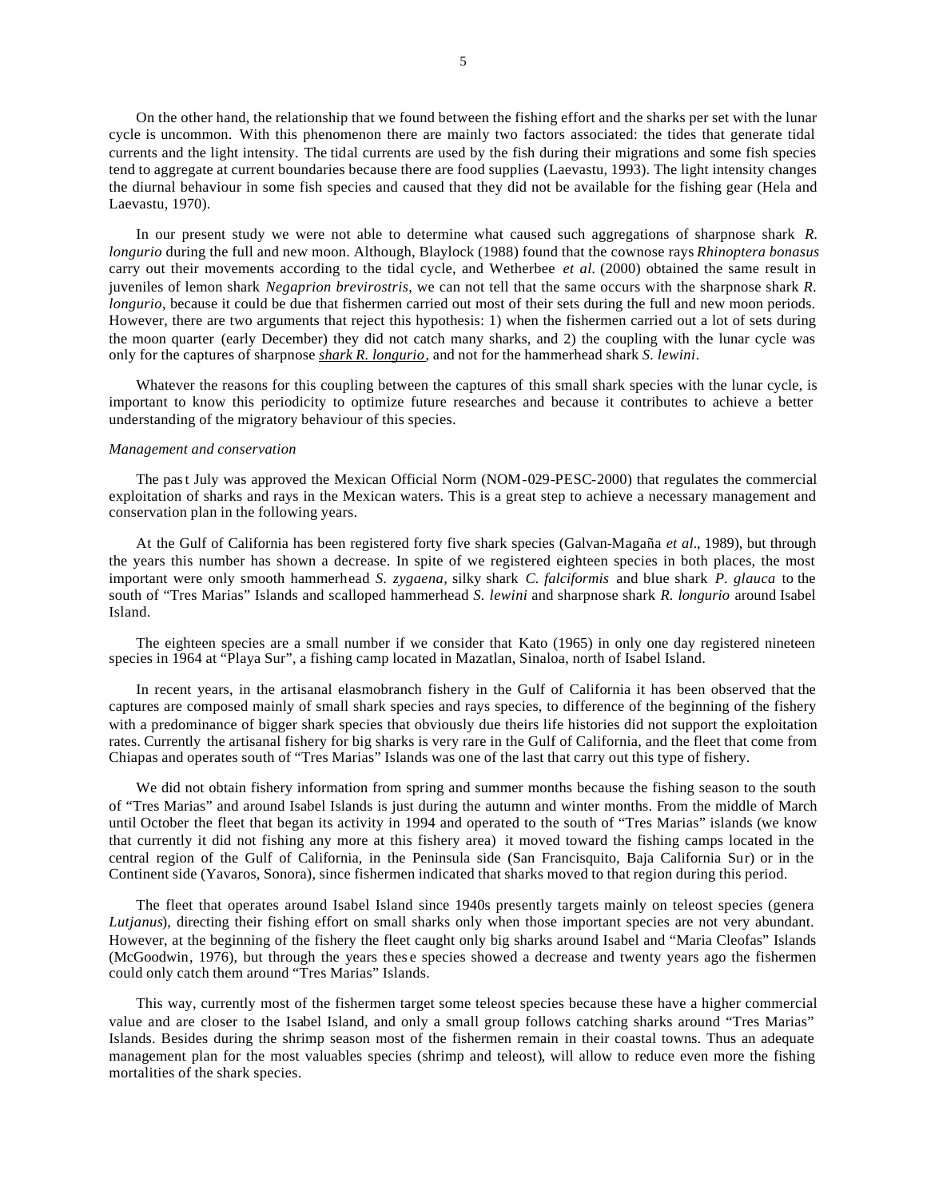On the other hand, the relationship that we found between the fishing effort and the sharks per set with the lunar cycle is uncommon. With this phenomenon there are mainly two factors associated: the tides that generate tidal currents and the light intensity. The tidal currents are used by the fish during their migrations and some fish species tend to aggregate at current boundaries because there are food supplies (Laevastu, 1993). The light intensity changes the diurnal behaviour in some fish species and caused that they did not be available for the fishing gear (Hela and Laevastu, 1970).

In our present study we were not able to determine what caused such aggregations of sharpnose shark *R*. *longurio* during the full and new moon. Although, Blaylock (1988) found that the cownose rays *Rhinoptera bonasus* carry out their movements according to the tidal cycle, and Wetherbee *et al.* (2000) obtained the same result in juveniles of lemon shark *Negaprion brevirostris*, we can not tell that the same occurs with the sharpnose shark *R*. *longurio*, because it could be due that fishermen carried out most of their sets during the full and new moon periods. However, there are two arguments that reject this hypothesis: 1) when the fishermen carried out a lot of sets during the moon quarter (early December) they did not catch many sharks, and 2) the coupling with the lunar cycle was only for the captures of sharpnose *shark R. longurio*, and not for the hammerhead shark *S. lewini*.

Whatever the reasons for this coupling between the captures of this small shark species with the lunar cycle, is important to know this periodicity to optimize future researches and because it contributes to achieve a better understanding of the migratory behaviour of this species.

### *Management and conservation*

The past July was approved the Mexican Official Norm (NOM-029-PESC-2000) that regulates the commercial exploitation of sharks and rays in the Mexican waters. This is a great step to achieve a necessary management and conservation plan in the following years.

At the Gulf of California has been registered forty five shark species (Galvan-Magaña *et al*., 1989), but through the years this number has shown a decrease. In spite of we registered eighteen species in both places, the most important were only smooth hammerhead *S. zygaena*, silky shark *C. falciformis* and blue shark *P. glauca* to the south of "Tres Marias" Islands and scalloped hammerhead *S. lewini* and sharpnose shark *R. longurio* around Isabel Island.

The eighteen species are a small number if we consider that Kato (1965) in only one day registered nineteen species in 1964 at "Playa Sur", a fishing camp located in Mazatlan, Sinaloa, north of Isabel Island.

In recent years, in the artisanal elasmobranch fishery in the Gulf of California it has been observed that the captures are composed mainly of small shark species and rays species, to difference of the beginning of the fishery with a predominance of bigger shark species that obviously due theirs life histories did not support the exploitation rates. Currently the artisanal fishery for big sharks is very rare in the Gulf of California, and the fleet that come from Chiapas and operates south of "Tres Marias" Islands was one of the last that carry out this type of fishery.

We did not obtain fishery information from spring and summer months because the fishing season to the south of "Tres Marias" and around Isabel Islands is just during the autumn and winter months. From the middle of March until October the fleet that began its activity in 1994 and operated to the south of "Tres Marias" islands (we know that currently it did not fishing any more at this fishery area) it moved toward the fishing camps located in the central region of the Gulf of California, in the Peninsula side (San Francisquito, Baja California Sur) or in the Continent side (Yavaros, Sonora), since fishermen indicated that sharks moved to that region during this period.

The fleet that operates around Isabel Island since 1940s presently targets mainly on teleost species (genera *Lutjanus*), directing their fishing effort on small sharks only when those important species are not very abundant. However, at the beginning of the fishery the fleet caught only big sharks around Isabel and "Maria Cleofas" Islands (McGoodwin, 1976), but through the years thes e species showed a decrease and twenty years ago the fishermen could only catch them around "Tres Marias" Islands.

This way, currently most of the fishermen target some teleost species because these have a higher commercial value and are closer to the Isabel Island, and only a small group follows catching sharks around "Tres Marias" Islands. Besides during the shrimp season most of the fishermen remain in their coastal towns. Thus an adequate management plan for the most valuables species (shrimp and teleost), will allow to reduce even more the fishing mortalities of the shark species.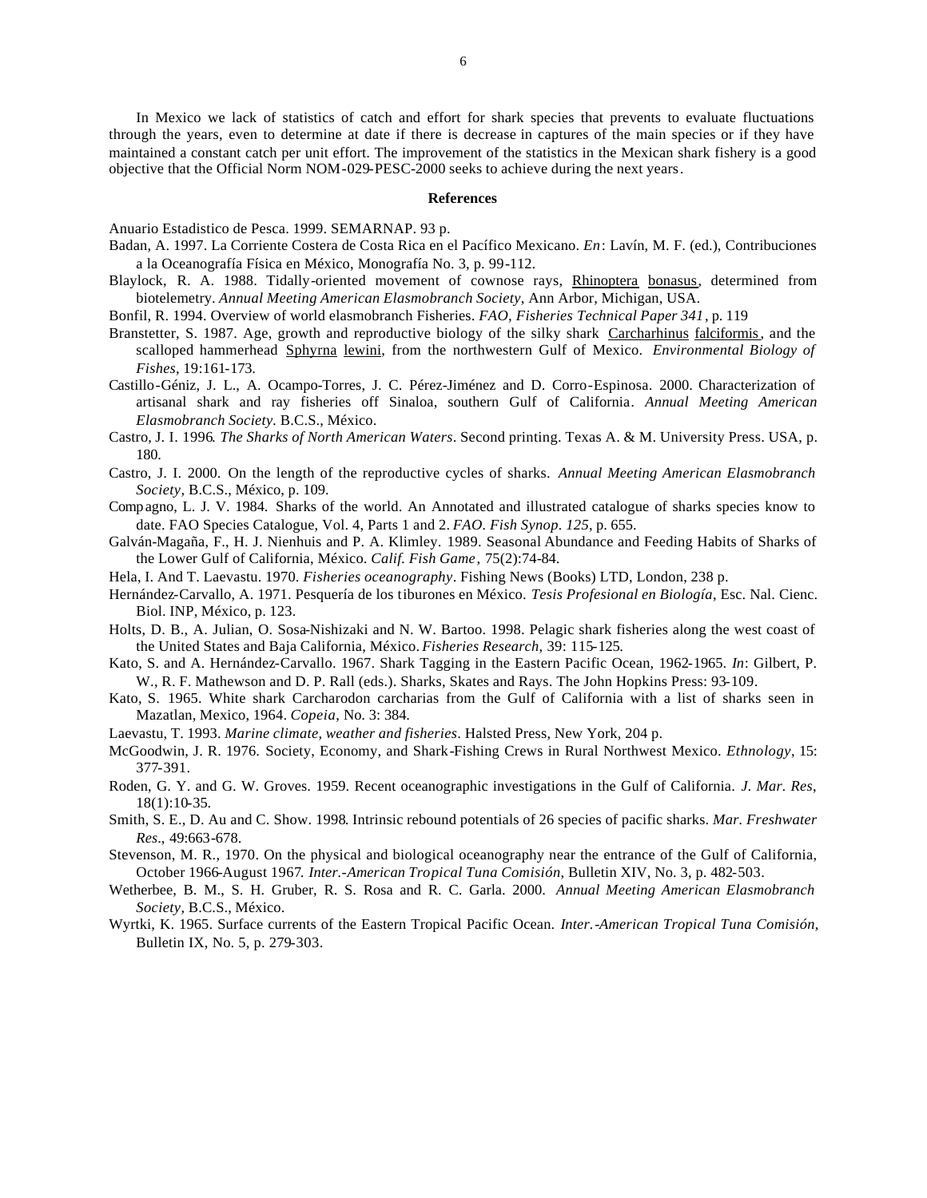In Mexico we lack of statistics of catch and effort for shark species that prevents to evaluate fluctuations through the years, even to determine at date if there is decrease in captures of the main species or if they have maintained a constant catch per unit effort. The improvement of the statistics in the Mexican shark fishery is a good objective that the Official Norm NOM-029-PESC-2000 seeks to achieve during the next years.

#### **References**

Anuario Estadistico de Pesca. 1999. SEMARNAP. 93 p.

- Badan, A. 1997. La Corriente Costera de Costa Rica en el Pacífico Mexicano. *En*: Lavín, M. F. (ed.), Contribuciones a la Oceanografía Física en México, Monografía No. 3, p. 99-112.
- Blaylock, R. A. 1988. Tidally-oriented movement of cownose rays, Rhinoptera bonasus, determined from biotelemetry. *Annual Meeting American Elasmobranch Society*, Ann Arbor, Michigan, USA.
- Bonfil, R. 1994. Overview of world elasmobranch Fisheries. *FAO, Fisheries Technical Paper 341*, p. 119
- Branstetter, S. 1987. Age, growth and reproductive biology of the silky shark Carcharhinus falciformis, and the scalloped hammerhead Sphyrna lewini, from the northwestern Gulf of Mexico. *Environmental Biology of Fishes*, 19:161-173.
- Castillo-Géniz, J. L., A. Ocampo-Torres, J. C. Pérez-Jiménez and D. Corro-Espinosa. 2000. Characterization of artisanal shark and ray fisheries off Sinaloa, southern Gulf of California*. Annual Meeting American Elasmobranch Society.* B.C.S., México.
- Castro, J. I. 1996*. The Sharks of North American Waters*. Second printing. Texas A. & M. University Press. USA, p. 180.
- Castro, J. I. 2000. On the length of the reproductive cycles of sharks. *Annual Meeting American Elasmobranch Society,* B.C.S., México, p. 109.
- Compagno, L. J. V. 1984. Sharks of the world. An Annotated and illustrated catalogue of sharks species know to date. FAO Species Catalogue, Vol. 4, Parts 1 and 2. *FAO. Fish Synop. 125*, p. 655.
- Galván-Magaña, F., H. J. Nienhuis and P. A. Klimley. 1989. Seasonal Abundance and Feeding Habits of Sharks of the Lower Gulf of California, México. *Calif. Fish Game*, 75(2):74-84.
- Hela, I. And T. Laevastu. 1970. *Fisheries oceanography*. Fishing News (Books) LTD, London, 238 p.
- Hernández-Carvallo, A. 1971. Pesquería de los tiburones en México. *Tesis Profesional en Biología*, Esc. Nal. Cienc. Biol. INP, México, p. 123.
- Holts, D. B., A. Julian, O. Sosa-Nishizaki and N. W. Bartoo. 1998. Pelagic shark fisheries along the west coast of the United States and Baja California, México. *Fisheries Research*, 39: 115-125.
- Kato, S. and A. Hernández-Carvallo. 1967. Shark Tagging in the Eastern Pacific Ocean, 1962-1965. *In*: Gilbert, P. W., R. F. Mathewson and D. P. Rall (eds.). Sharks, Skates and Rays. The John Hopkins Press: 93-109.
- Kato, S. 1965. White shark Carcharodon carcharias from the Gulf of California with a list of sharks seen in Mazatlan, Mexico, 1964. *Copeia*, No. 3: 384.
- Laevastu, T. 1993. *Marine climate, weather and fisheries*. Halsted Press, New York, 204 p.
- McGoodwin, J. R. 1976. Society, Economy, and Shark-Fishing Crews in Rural Northwest Mexico. *Ethnology*, 15: 377-391.
- Roden, G. Y. and G. W. Groves. 1959. Recent oceanographic investigations in the Gulf of California. *J. Mar. Res*, 18(1):10-35.
- Smith, S. E., D. Au and C. Show. 1998. Intrinsic rebound potentials of 26 species of pacific sharks. *Mar. Freshwater Res*., 49:663-678.
- Stevenson, M. R., 1970. On the physical and biological oceanography near the entrance of the Gulf of California, October 1966-August 1967*. Inter.-American Tropical Tuna Comisión*, Bulletin XIV, No. 3, p. 482-503.
- Wetherbee, B. M., S. H. Gruber, R. S. Rosa and R. C. Garla. 2000. *Annual Meeting American Elasmobranch Society,* B.C.S., México.
- Wyrtki, K. 1965. Surface currents of the Eastern Tropical Pacific Ocean. *Inter.-American Tropical Tuna Comisión*, Bulletin IX, No. 5, p. 279-303.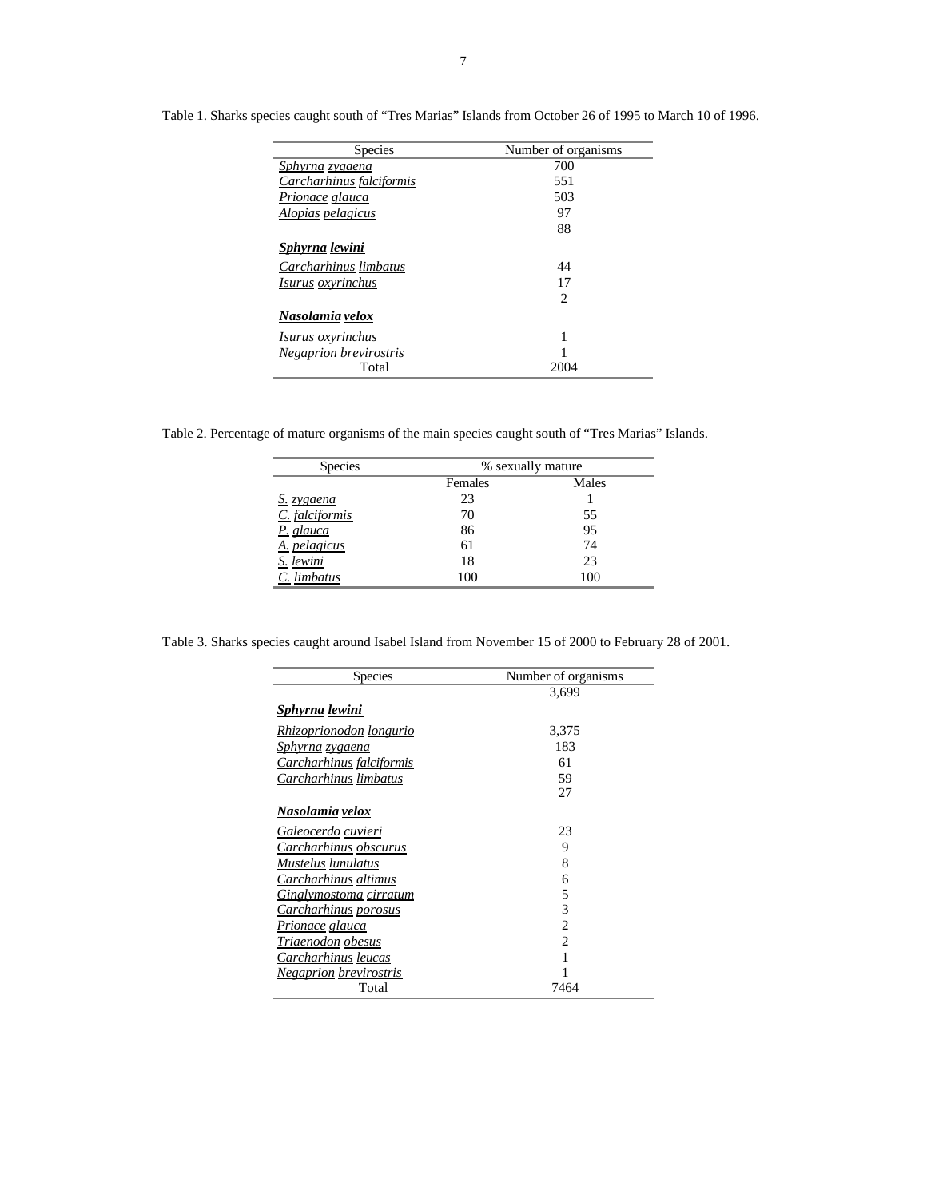| Number of organisms |
|---------------------|
| 700                 |
| 551                 |
| 503                 |
| 97                  |
| 88                  |
|                     |
| 44                  |
| 17                  |
| 2                   |
|                     |
| 1                   |
|                     |
| 2004                |
|                     |

Table 1. Sharks species caught south of "Tres Marias" Islands from October 26 of 1995 to March 10 of 1996.

Table 2. Percentage of mature organisms of the main species caught south of "Tres Marias" Islands.

| <b>Species</b>    | % sexually mature |       |  |
|-------------------|-------------------|-------|--|
|                   | Females           | Males |  |
| <u>S. zygaena</u> | 23                |       |  |
| C. falciformis    | 70                | 55    |  |
| P. glauca         | 86                | 95    |  |
| A. pelagicus      | 61                | 74    |  |
| S. lewini         | 18                | 23    |  |
| C. limbatus       | 100               | 100   |  |

Table 3. Sharks species caught around Isabel Island from November 15 of 2000 to February 28 of 2001.

| <b>Species</b>                 | Number of organisms |  |
|--------------------------------|---------------------|--|
|                                | 3.699               |  |
| Sphyrna lewini                 |                     |  |
| <u>Rhizoprionodon longurio</u> | 3,375               |  |
| <u>Sphyrna zygaena</u>         | 183                 |  |
| Carcharhinus falciformis       | 61                  |  |
| Carcharhinus limbatus          | 59                  |  |
|                                | 27                  |  |
| Nasolamia velox                |                     |  |
| Galeocerdo cuvieri             | 23                  |  |
| Carcharhinus obscurus          | 9                   |  |
| Mustelus lunulatus             | 8                   |  |
| Carcharhinus altimus           | 6                   |  |
| <u>Ginglymostoma cirratum</u>  | 5                   |  |
| Carcharhinus porosus           | 3                   |  |
| Prionace glauca                | $\overline{c}$      |  |
| Triaenodon obesus              | $\overline{c}$      |  |
| Carcharhinus leucas            | 1                   |  |
| <u>Negaprion brevirostris</u>  |                     |  |
| Total                          | 7464                |  |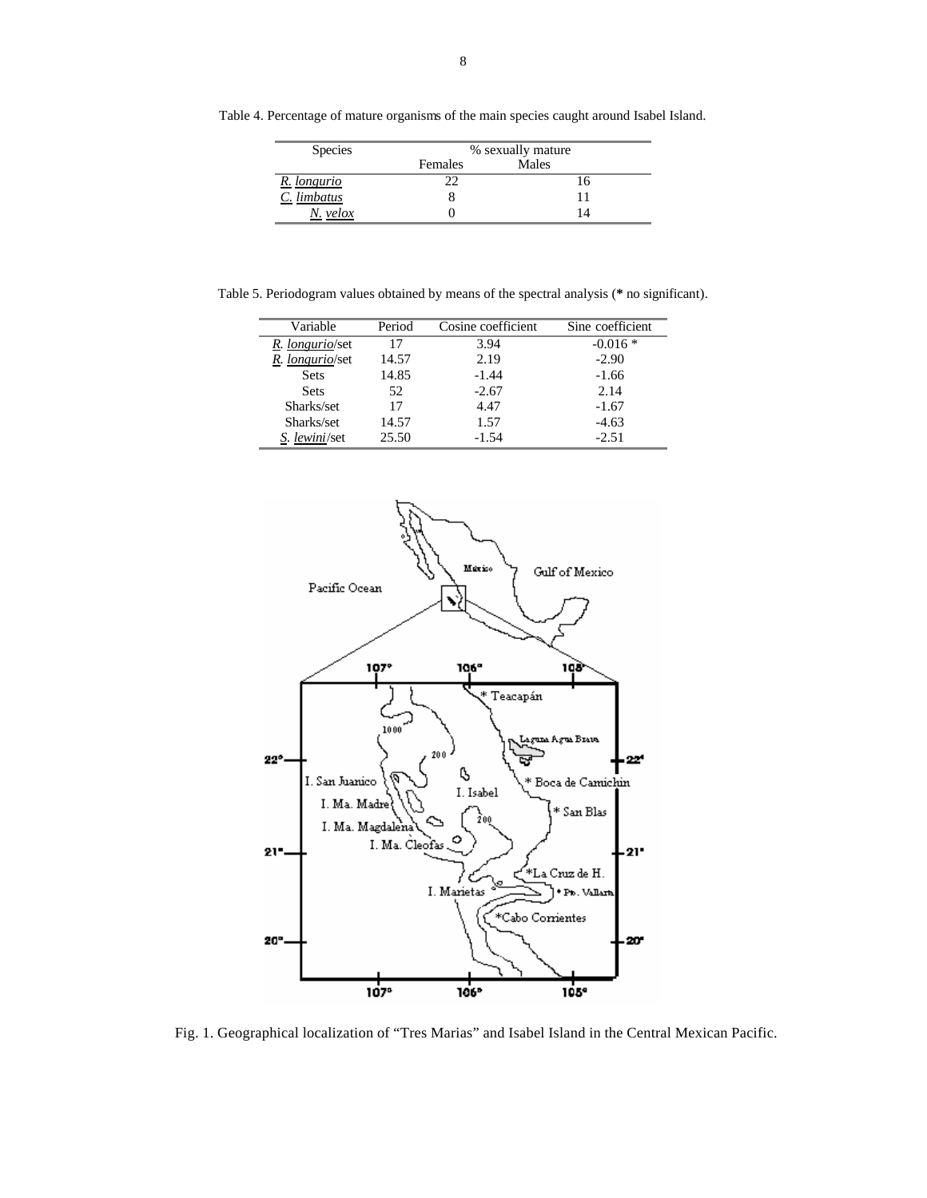Table 4. Percentage of mature organisms of the main species caught around Isabel Island.

| <b>Species</b> | % sexually mature |       |  |
|----------------|-------------------|-------|--|
|                | Females           | Males |  |
| R. longurio    |                   | 16    |  |
| C. limbatus    |                   |       |  |
| N. velox       |                   |       |  |

Table 5. Periodogram values obtained by means of the spectral analysis (**\*** no significant).

| Variable             | Period | Cosine coefficient | Sine coefficient |
|----------------------|--------|--------------------|------------------|
| R. longurio/set      | 17     | 3.94               | $-0.016*$        |
| R. longurio/set      | 14.57  | 2.19               | $-2.90$          |
| <b>Sets</b>          | 14.85  | $-1.44$            | $-1.66$          |
| <b>Sets</b>          | 52.    | $-2.67$            | 2.14             |
| Sharks/set           | 17     | 4.47               | $-1.67$          |
| Sharks/set           | 14.57  | 1.57               | $-4.63$          |
| <i>S. lewini/set</i> | 25.50  | $-1.54$            | $-2.51$          |



Fig. 1. Geographical localization of "Tres Marias" and Isabel Island in the Central Mexican Pacific.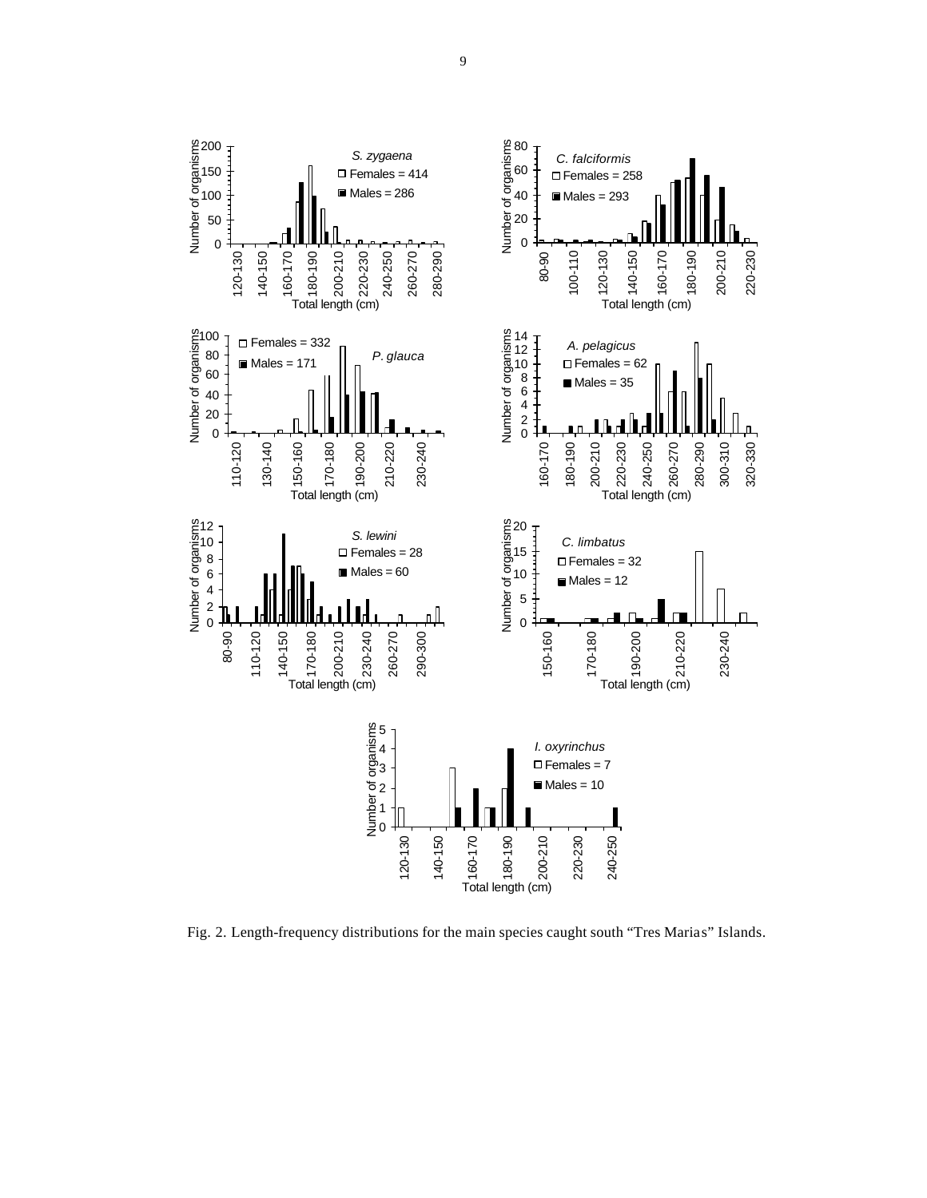

Fig. 2. Length-frequency distributions for the main species caught south "Tres Marias" Islands.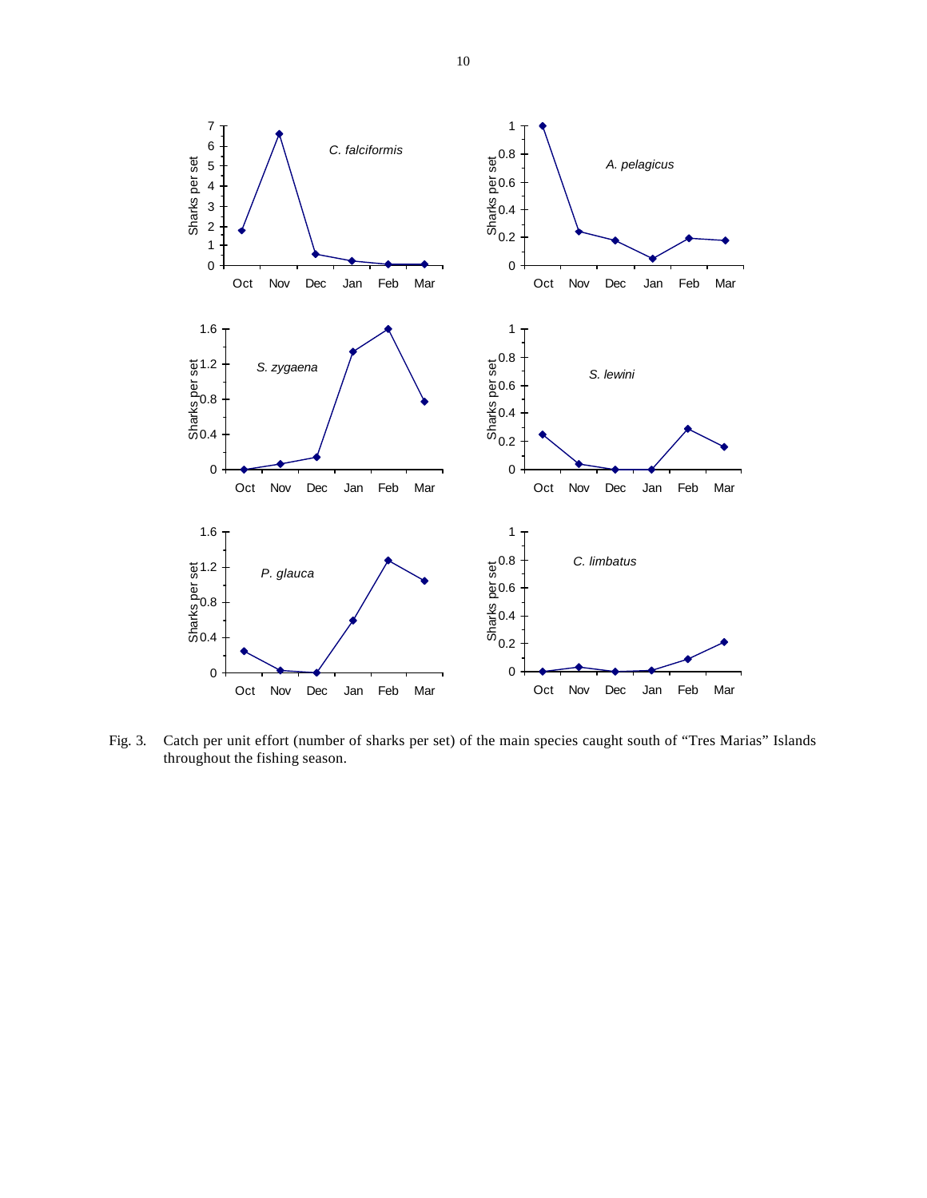

Fig. 3. Catch per unit effort (number of sharks per set) of the main species caught south of "Tres Marias" Islands throughout the fishing season.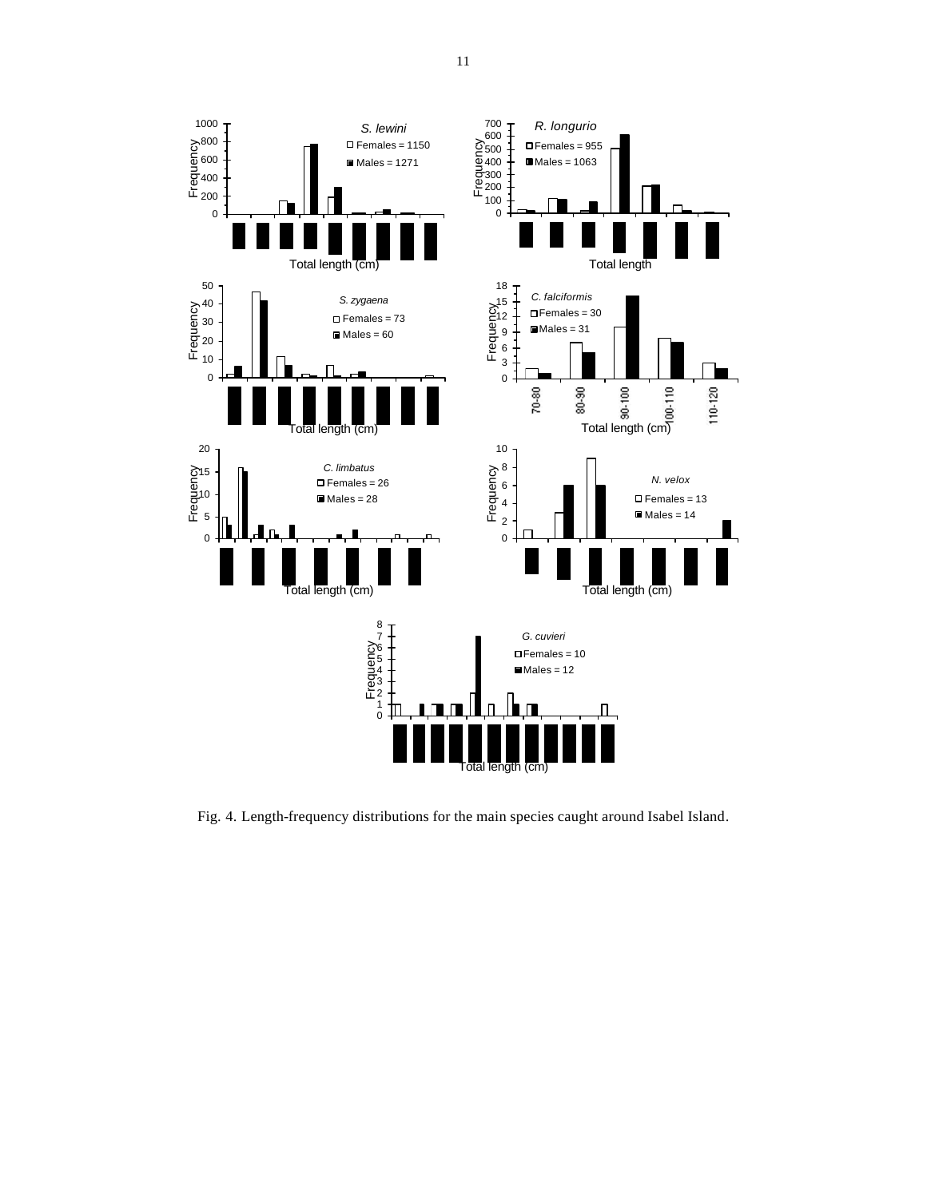

Fig. 4. Length-frequency distributions for the main species caught around Isabel Island.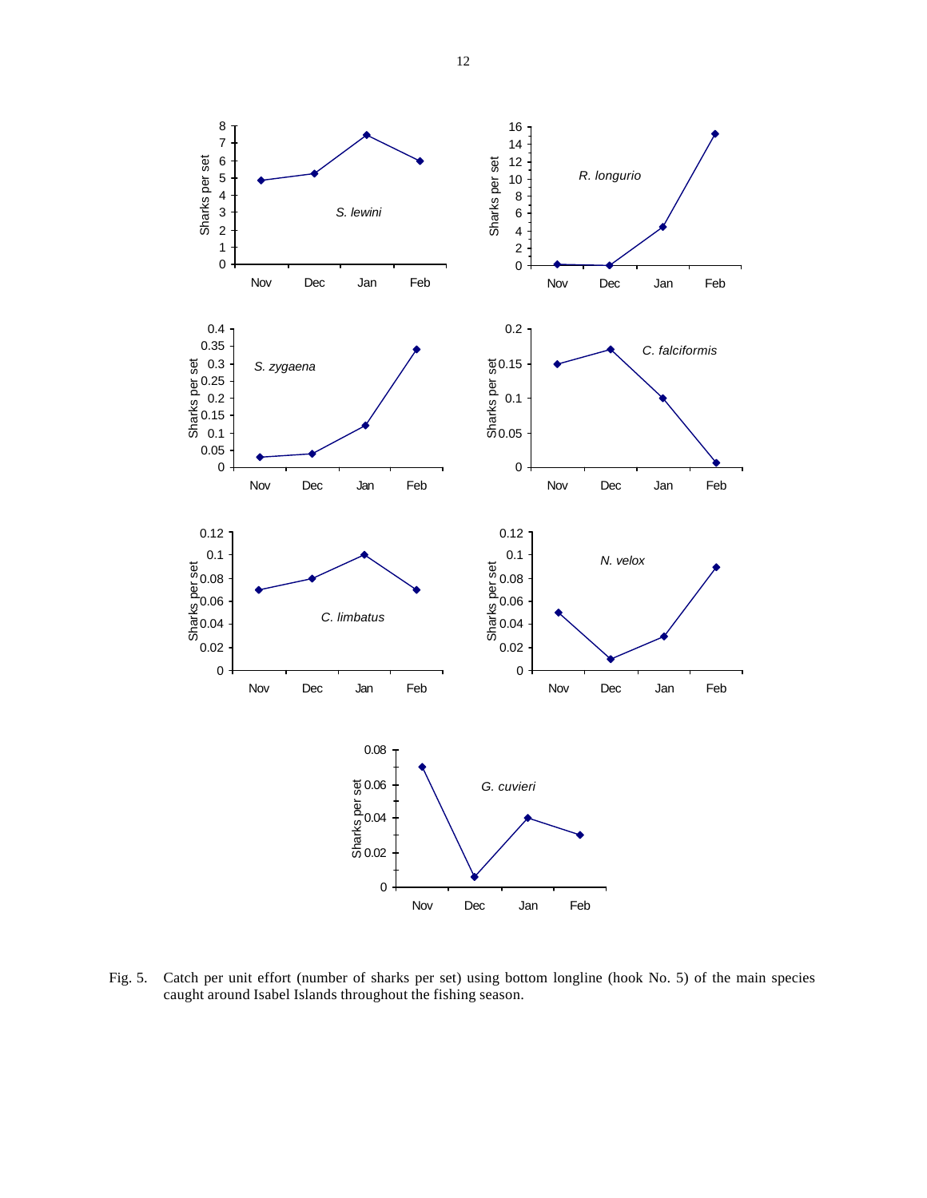

Fig. 5. Catch per unit effort (number of sharks per set) using bottom longline (hook No. 5) of the main species caught around Isabel Islands throughout the fishing season.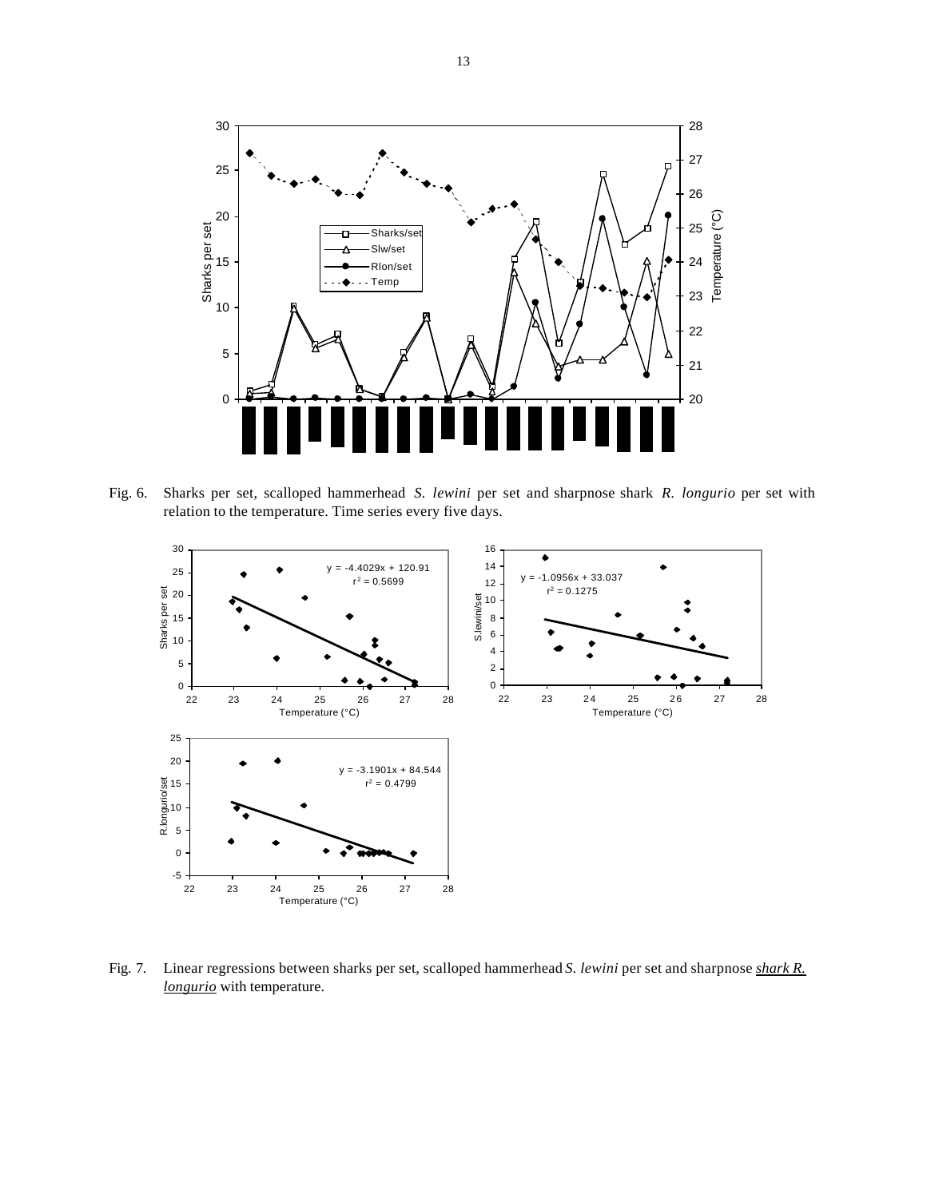

Fig. 6. Sharks per set, scalloped hammerhead *S. lewini* per set and sharpnose shark *R. longurio* per set with relation to the temperature. Time series every five days.



Fig. 7. Linear regressions between sharks per set, scalloped hammerhead *S. lewini* per set and sharpnose *shark R. longurio* with temperature.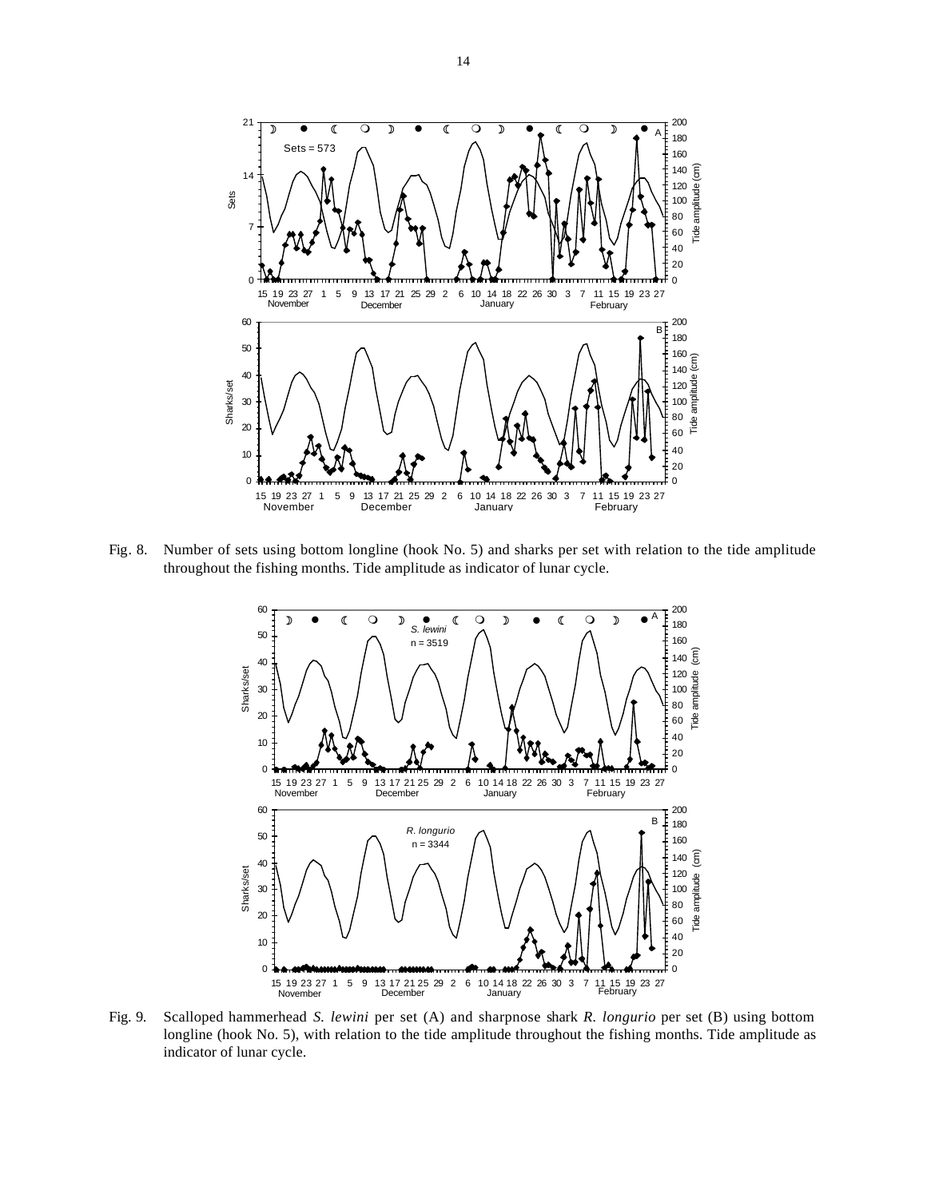

Fig. 8. Number of sets using bottom longline (hook No. 5) and sharks per set with relation to the tide amplitude throughout the fishing months. Tide amplitude as indicator of lunar cycle.



Fig. 9. Scalloped hammerhead *S. lewini* per set (A) and sharpnose shark *R. longurio* per set (B) using bottom longline (hook No. 5), with relation to the tide amplitude throughout the fishing months. Tide amplitude as indicator of lunar cycle.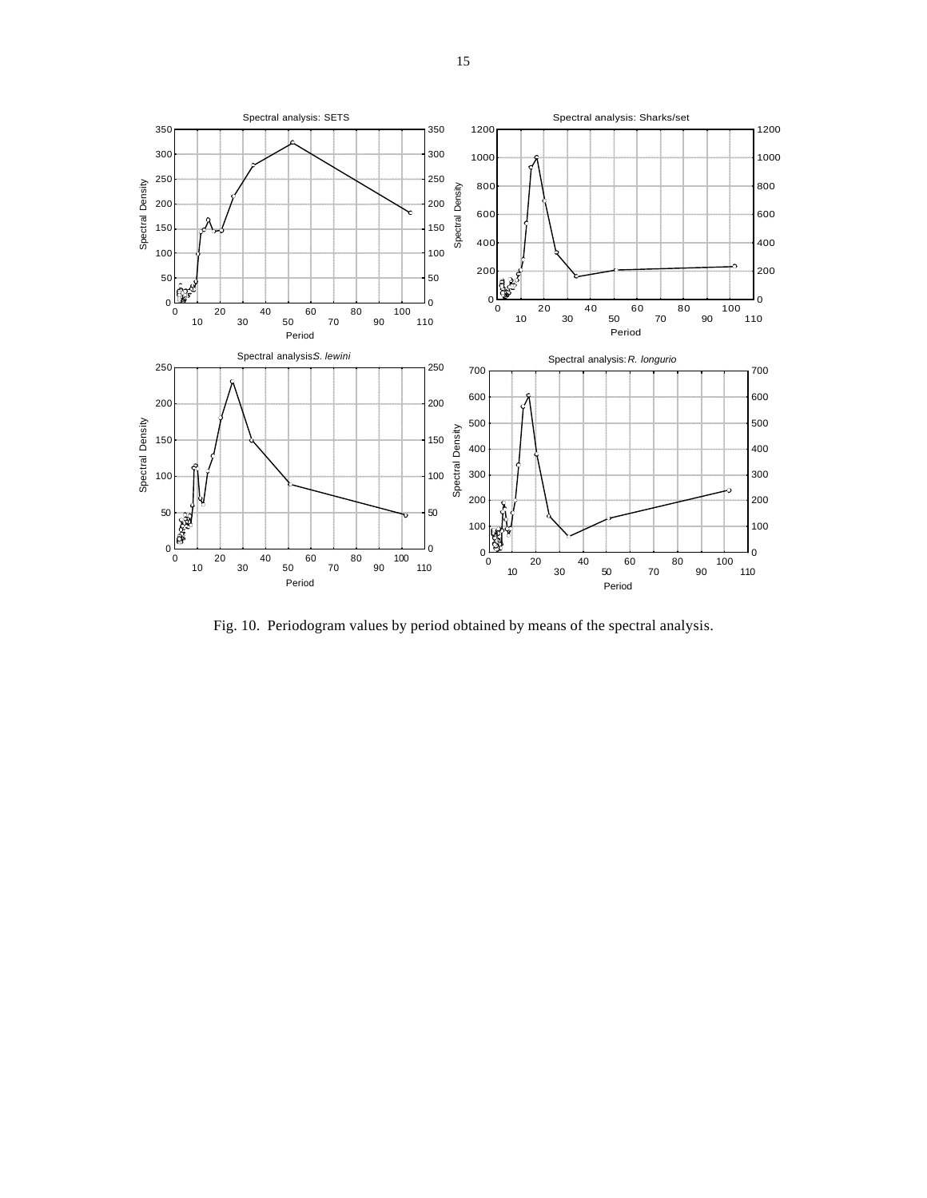

Fig. 10. Periodogram values by period obtained by means of the spectral analysis.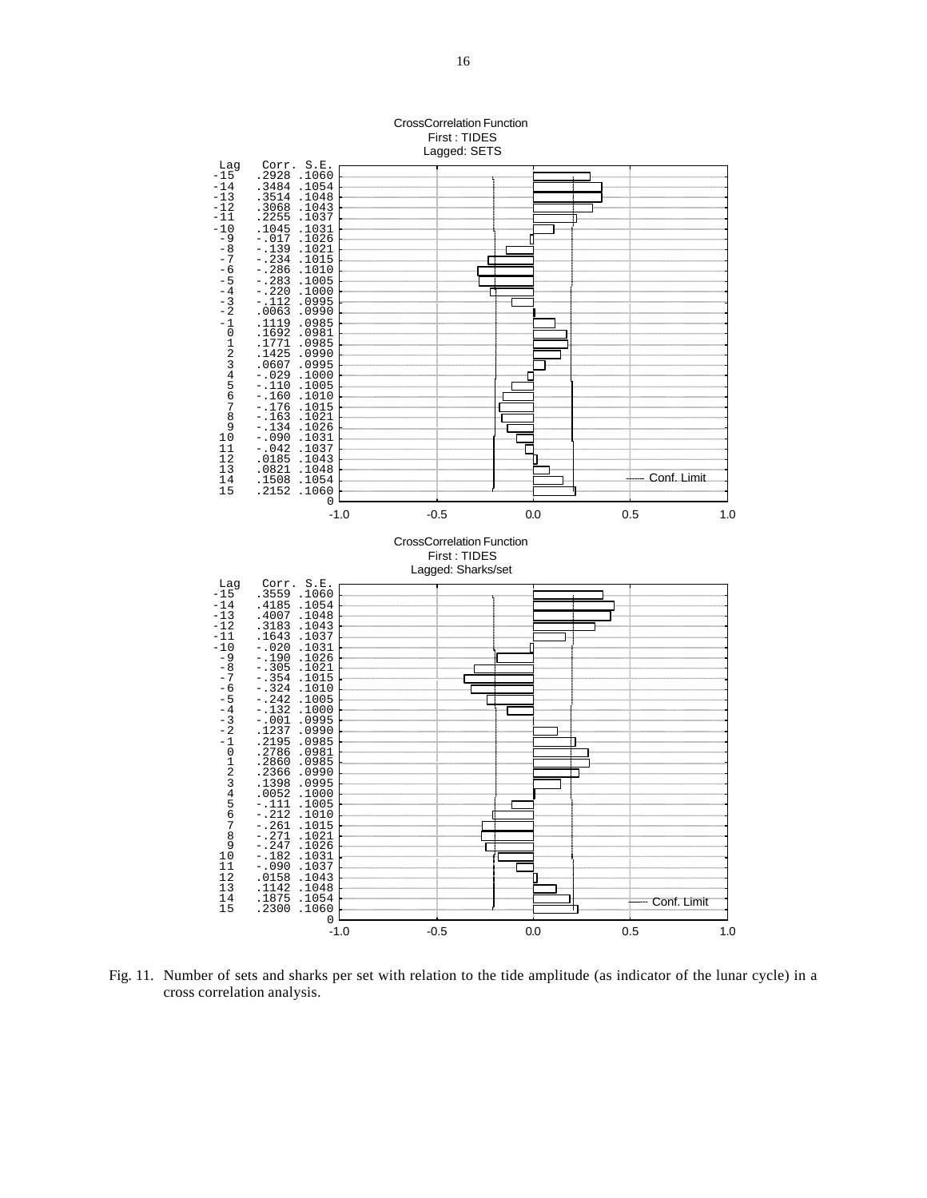

cross correlation analysis.